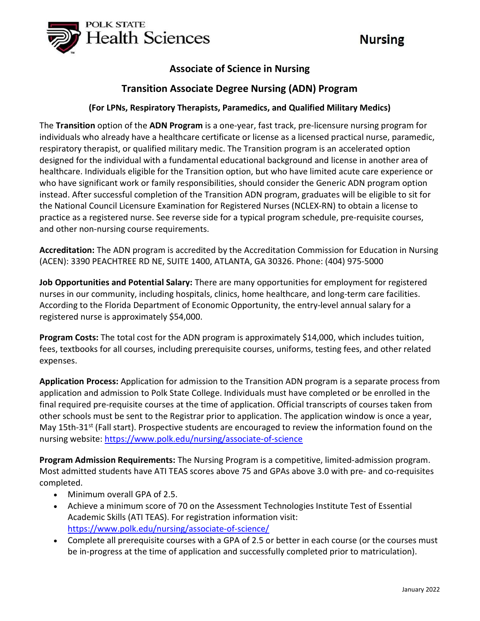

# **Nursing**

## Associate of Science in Nursing

## Transition Associate Degree Nursing (ADN) Program

#### (For LPNs, Respiratory Therapists, Paramedics, and Qualified Military Medics)

The Transition option of the ADN Program is a one-year, fast track, pre-licensure nursing program for individuals who already have a healthcare certificate or license as a licensed practical nurse, paramedic, respiratory therapist, or qualified military medic. The Transition program is an accelerated option designed for the individual with a fundamental educational background and license in another area of healthcare. Individuals eligible for the Transition option, but who have limited acute care experience or who have significant work or family responsibilities, should consider the Generic ADN program option instead. After successful completion of the Transition ADN program, graduates will be eligible to sit for the National Council Licensure Examination for Registered Nurses (NCLEX-RN) to obtain a license to practice as a registered nurse. See reverse side for a typical program schedule, pre-requisite courses, and other non-nursing course requirements.

Accreditation: The ADN program is accredited by the Accreditation Commission for Education in Nursing (ACEN): 3390 PEACHTREE RD NE, SUITE 1400, ATLANTA, GA 30326. Phone: (404) 975-5000

Job Opportunities and Potential Salary: There are many opportunities for employment for registered nurses in our community, including hospitals, clinics, home healthcare, and long-term care facilities. According to the Florida Department of Economic Opportunity, the entry-level annual salary for a registered nurse is approximately \$54,000.

Program Costs: The total cost for the ADN program is approximately \$14,000, which includes tuition, fees, textbooks for all courses, including prerequisite courses, uniforms, testing fees, and other related expenses.

Application Process: Application for admission to the Transition ADN program is a separate process from application and admission to Polk State College. Individuals must have completed or be enrolled in the final required pre-requisite courses at the time of application. Official transcripts of courses taken from other schools must be sent to the Registrar prior to application. The application window is once a year, May 15th-31st (Fall start). Prospective students are encouraged to review the information found on the nursing website: https://www.polk.edu/nursing/associate-of-science

Program Admission Requirements: The Nursing Program is a competitive, limited-admission program. Most admitted students have ATI TEAS scores above 75 and GPAs above 3.0 with pre- and co-requisites completed.

- Minimum overall GPA of 2.5.
- Achieve a minimum score of 70 on the Assessment Technologies Institute Test of Essential Academic Skills (ATI TEAS). For registration information visit: https://www.polk.edu/nursing/associate-of-science/
- Complete all prerequisite courses with a GPA of 2.5 or better in each course (or the courses must be in-progress at the time of application and successfully completed prior to matriculation).